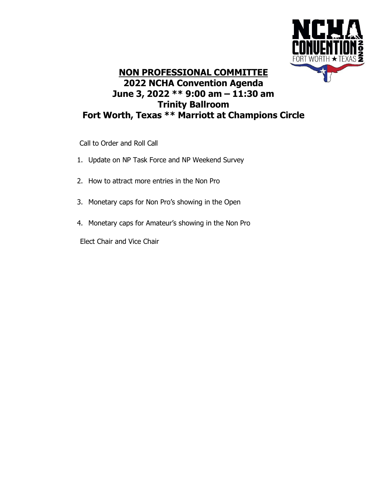

## **NON PROFESSIONAL COMMITTEE 2022 NCHA Convention Agenda June 3, 2022 \*\* 9:00 am – 11:30 am Trinity Ballroom Fort Worth, Texas \*\* Marriott at Champions Circle**

Call to Order and Roll Call

- 1. Update on NP Task Force and NP Weekend Survey
- 2. How to attract more entries in the Non Pro
- 3. Monetary caps for Non Pro's showing in the Open
- 4. Monetary caps for Amateur's showing in the Non Pro

Elect Chair and Vice Chair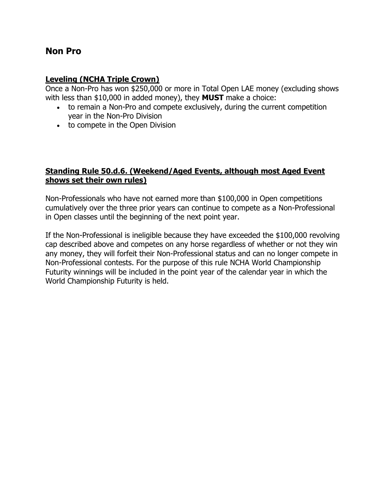### **Non Pro**

#### **Leveling (NCHA Triple Crown)**

Once a Non-Pro has won \$250,000 or more in Total Open LAE money (excluding shows with less than \$10,000 in added money), they **MUST** make a choice:

- to remain a Non-Pro and compete exclusively, during the current competition year in the Non-Pro Division
- to compete in the Open Division

#### **Standing Rule 50.d.6. (Weekend/Aged Events, although most Aged Event shows set their own rules)**

Non-Professionals who have not earned more than \$100,000 in Open competitions cumulatively over the three prior years can continue to compete as a Non-Professional in Open classes until the beginning of the next point year.

If the Non-Professional is ineligible because they have exceeded the \$100,000 revolving cap described above and competes on any horse regardless of whether or not they win any money, they will forfeit their Non-Professional status and can no longer compete in Non-Professional contests. For the purpose of this rule NCHA World Championship Futurity winnings will be included in the point year of the calendar year in which the World Championship Futurity is held.